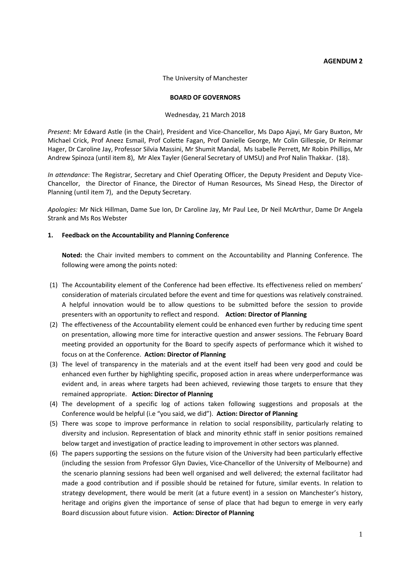#### **AGENDUM 2**

The University of Manchester

#### **BOARD OF GOVERNORS**

#### Wednesday, 21 March 2018

*Present*: Mr Edward Astle (in the Chair), President and Vice-Chancellor, Ms Dapo Ajayi, Mr Gary Buxton, Mr Michael Crick, Prof Aneez Esmail, Prof Colette Fagan, Prof Danielle George, Mr Colin Gillespie, Dr Reinmar Hager, Dr Caroline Jay, Professor Silvia Massini, Mr Shumit Mandal, Ms Isabelle Perrett, Mr Robin Phillips, Mr Andrew Spinoza (until item 8), Mr Alex Tayler (General Secretary of UMSU) and Prof Nalin Thakkar. (18).

*In attendance*: The Registrar, Secretary and Chief Operating Officer, the Deputy President and Deputy Vice-Chancellor, the Director of Finance, the Director of Human Resources, Ms Sinead Hesp, the Director of Planning (until item 7), and the Deputy Secretary.

*Apologies:* Mr Nick Hillman, Dame Sue Ion, Dr Caroline Jay, Mr Paul Lee, Dr Neil McArthur, Dame Dr Angela Strank and Ms Ros Webster

#### **1. Feedback on the Accountability and Planning Conference**

**Noted:** the Chair invited members to comment on the Accountability and Planning Conference. The following were among the points noted:

- (1) The Accountability element of the Conference had been effective. Its effectiveness relied on members' consideration of materials circulated before the event and time for questions was relatively constrained. A helpful innovation would be to allow questions to be submitted before the session to provide presenters with an opportunity to reflect and respond. **Action: Director of Planning**
- (2) The effectiveness of the Accountability element could be enhanced even further by reducing time spent on presentation, allowing more time for interactive question and answer sessions. The February Board meeting provided an opportunity for the Board to specify aspects of performance which it wished to focus on at the Conference. **Action: Director of Planning**
- (3) The level of transparency in the materials and at the event itself had been very good and could be enhanced even further by highlighting specific, proposed action in areas where underperformance was evident and, in areas where targets had been achieved, reviewing those targets to ensure that they remained appropriate. **Action: Director of Planning**
- (4) The development of a specific log of actions taken following suggestions and proposals at the Conference would be helpful (i.e "you said, we did"). **Action: Director of Planning**
- (5) There was scope to improve performance in relation to social responsibility, particularly relating to diversity and inclusion. Representation of black and minority ethnic staff in senior positions remained below target and investigation of practice leading to improvement in other sectors was planned.
- (6) The papers supporting the sessions on the future vision of the University had been particularly effective (including the session from Professor Glyn Davies, Vice-Chancellor of the University of Melbourne) and the scenario planning sessions had been well organised and well delivered; the external facilitator had made a good contribution and if possible should be retained for future, similar events. In relation to strategy development, there would be merit (at a future event) in a session on Manchester's history, heritage and origins given the importance of sense of place that had begun to emerge in very early Board discussion about future vision. **Action: Director of Planning**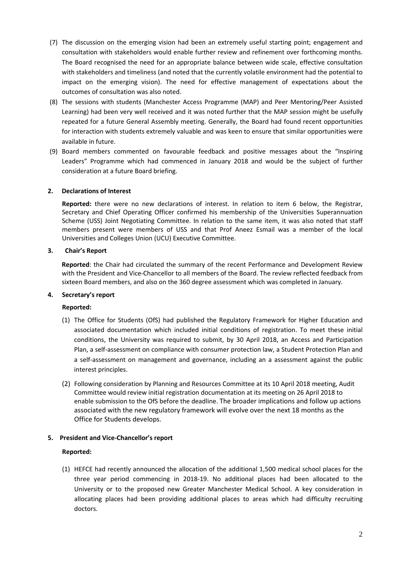- (7) The discussion on the emerging vision had been an extremely useful starting point; engagement and consultation with stakeholders would enable further review and refinement over forthcoming months. The Board recognised the need for an appropriate balance between wide scale, effective consultation with stakeholders and timeliness (and noted that the currently volatile environment had the potential to impact on the emerging vision). The need for effective management of expectations about the outcomes of consultation was also noted.
- (8) The sessions with students (Manchester Access Programme (MAP) and Peer Mentoring/Peer Assisted Learning) had been very well received and it was noted further that the MAP session might be usefully repeated for a future General Assembly meeting. Generally, the Board had found recent opportunities for interaction with students extremely valuable and was keen to ensure that similar opportunities were available in future.
- (9) Board members commented on favourable feedback and positive messages about the "Inspiring Leaders" Programme which had commenced in January 2018 and would be the subject of further consideration at a future Board briefing.

## **2. Declarations of Interest**

**Reported:** there were no new declarations of interest. In relation to item 6 below, the Registrar, Secretary and Chief Operating Officer confirmed his membership of the Universities Superannuation Scheme (USS) Joint Negotiating Committee. In relation to the same item, it was also noted that staff members present were members of USS and that Prof Aneez Esmail was a member of the local Universities and Colleges Union (UCU) Executive Committee.

## **3. Chair's Report**

**Reported**: the Chair had circulated the summary of the recent Performance and Development Review with the President and Vice-Chancellor to all members of the Board. The review reflected feedback from sixteen Board members, and also on the 360 degree assessment which was completed in January.

## **4. Secretary's report**

## **Reported:**

- (1) The Office for Students (OfS) had published the Regulatory Framework for Higher Education and associated documentation which included initial conditions of registration. To meet these initial conditions, the University was required to submit, by 30 April 2018, an Access and Participation Plan, a self-assessment on compliance with consumer protection law, a Student Protection Plan and a self-assessment on management and governance, including an a assessment against the public interest principles.
- (2) Following consideration by Planning and Resources Committee at its 10 April 2018 meeting, Audit Committee would review initial registration documentation at its meeting on 26 April 2018 to enable submission to the OfS before the deadline. The broader implications and follow up actions associated with the new regulatory framework will evolve over the next 18 months as the Office for Students develops.

## **5. President and Vice-Chancellor's report**

## **Reported:**

(1) HEFCE had recently announced the allocation of the additional 1,500 medical school places for the three year period commencing in 2018-19. No additional places had been allocated to the University or to the proposed new Greater Manchester Medical School. A key consideration in allocating places had been providing additional places to areas which had difficulty recruiting doctors.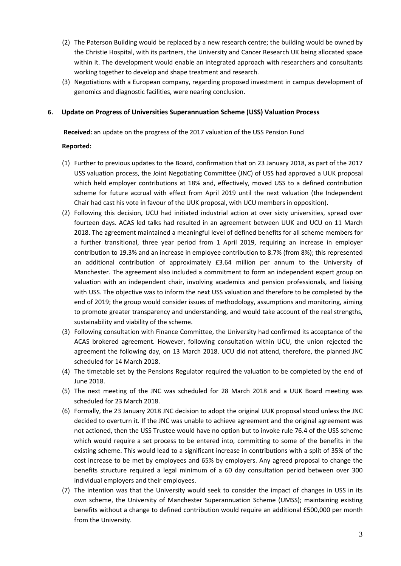- (2) The Paterson Building would be replaced by a new research centre; the building would be owned by the Christie Hospital, with its partners, the University and Cancer Research UK being allocated space within it. The development would enable an integrated approach with researchers and consultants working together to develop and shape treatment and research.
- (3) Negotiations with a European company, regarding proposed investment in campus development of genomics and diagnostic facilities, were nearing conclusion.

## **6. Update on Progress of Universities Superannuation Scheme (USS) Valuation Process**

**Received:** an update on the progress of the 2017 valuation of the USS Pension Fund

#### **Reported:**

- (1) Further to previous updates to the Board, confirmation that on 23 January 2018, as part of the 2017 USS valuation process, the Joint Negotiating Committee (JNC) of USS had approved a UUK proposal which held employer contributions at 18% and, effectively, moved USS to a defined contribution scheme for future accrual with effect from April 2019 until the next valuation (the Independent Chair had cast his vote in favour of the UUK proposal, with UCU members in opposition).
- (2) Following this decision, UCU had initiated industrial action at over sixty universities, spread over fourteen days. ACAS led talks had resulted in an agreement between UUK and UCU on 11 March 2018. The agreement maintained a meaningful level of defined benefits for all scheme members for a further transitional, three year period from 1 April 2019, requiring an increase in employer contribution to 19.3% and an increase in employee contribution to 8.7% (from 8%); this represented an additional contribution of approximately £3.64 million per annum to the University of Manchester. The agreement also included a commitment to form an independent expert group on valuation with an independent chair, involving academics and pension professionals, and liaising with USS. The objective was to inform the next USS valuation and therefore to be completed by the end of 2019; the group would consider issues of methodology, assumptions and monitoring, aiming to promote greater transparency and understanding, and would take account of the real strengths, sustainability and viability of the scheme.
- (3) Following consultation with Finance Committee, the University had confirmed its acceptance of the ACAS brokered agreement. However, following consultation within UCU, the union rejected the agreement the following day, on 13 March 2018. UCU did not attend, therefore, the planned JNC scheduled for 14 March 2018.
- (4) The timetable set by the Pensions Regulator required the valuation to be completed by the end of June 2018.
- (5) The next meeting of the JNC was scheduled for 28 March 2018 and a UUK Board meeting was scheduled for 23 March 2018.
- (6) Formally, the 23 January 2018 JNC decision to adopt the original UUK proposal stood unless the JNC decided to overturn it. If the JNC was unable to achieve agreement and the original agreement was not actioned, then the USS Trustee would have no option but to invoke rule 76.4 of the USS scheme which would require a set process to be entered into, committing to some of the benefits in the existing scheme. This would lead to a significant increase in contributions with a split of 35% of the cost increase to be met by employees and 65% by employers. Any agreed proposal to change the benefits structure required a legal minimum of a 60 day consultation period between over 300 individual employers and their employees.
- (7) The intention was that the University would seek to consider the impact of changes in USS in its own scheme, the University of Manchester Superannuation Scheme (UMSS); maintaining existing benefits without a change to defined contribution would require an additional £500,000 per month from the University.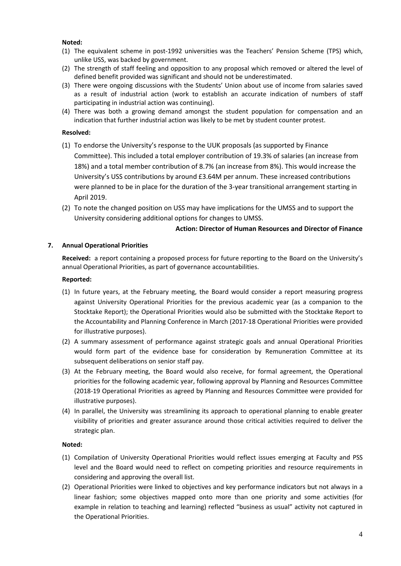## **Noted:**

- (1) The equivalent scheme in post-1992 universities was the Teachers' Pension Scheme (TPS) which, unlike USS, was backed by government.
- (2) The strength of staff feeling and opposition to any proposal which removed or altered the level of defined benefit provided was significant and should not be underestimated.
- (3) There were ongoing discussions with the Students' Union about use of income from salaries saved as a result of industrial action (work to establish an accurate indication of numbers of staff participating in industrial action was continuing).
- (4) There was both a growing demand amongst the student population for compensation and an indication that further industrial action was likely to be met by student counter protest.

#### **Resolved:**

- (1) To endorse the University's response to the UUK proposals (as supported by Finance Committee). This included a total employer contribution of 19.3% of salaries (an increase from 18%) and a total member contribution of 8.7% (an increase from 8%). This would increase the University's USS contributions by around £3.64M per annum. These increased contributions were planned to be in place for the duration of the 3-year transitional arrangement starting in April 2019.
- (2) To note the changed position on USS may have implications for the UMSS and to support the University considering additional options for changes to UMSS.

## **Action: Director of Human Resources and Director of Finance**

#### **7. Annual Operational Priorities**

 **Received:** a report containing a proposed process for future reporting to the Board on the University's annual Operational Priorities, as part of governance accountabilities.

#### **Reported:**

- (1) In future years, at the February meeting, the Board would consider a report measuring progress against University Operational Priorities for the previous academic year (as a companion to the Stocktake Report); the Operational Priorities would also be submitted with the Stocktake Report to the Accountability and Planning Conference in March (2017-18 Operational Priorities were provided for illustrative purposes).
- (2) A summary assessment of performance against strategic goals and annual Operational Priorities would form part of the evidence base for consideration by Remuneration Committee at its subsequent deliberations on senior staff pay.
- (3) At the February meeting, the Board would also receive, for formal agreement, the Operational priorities for the following academic year, following approval by Planning and Resources Committee (2018-19 Operational Priorities as agreed by Planning and Resources Committee were provided for illustrative purposes).
- (4) In parallel, the University was streamlining its approach to operational planning to enable greater visibility of priorities and greater assurance around those critical activities required to deliver the strategic plan.

## **Noted:**

- (1) Compilation of University Operational Priorities would reflect issues emerging at Faculty and PSS level and the Board would need to reflect on competing priorities and resource requirements in considering and approving the overall list.
- (2) Operational Priorities were linked to objectives and key performance indicators but not always in a linear fashion; some objectives mapped onto more than one priority and some activities (for example in relation to teaching and learning) reflected "business as usual" activity not captured in the Operational Priorities.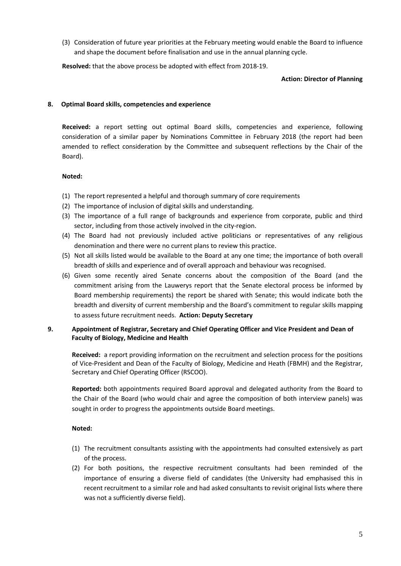(3) Consideration of future year priorities at the February meeting would enable the Board to influence and shape the document before finalisation and use in the annual planning cycle.

**Resolved:** that the above process be adopted with effect from 2018-19.

## **Action: Director of Planning**

## **8. Optimal Board skills, competencies and experience**

**Received:** a report setting out optimal Board skills, competencies and experience, following consideration of a similar paper by Nominations Committee in February 2018 (the report had been amended to reflect consideration by the Committee and subsequent reflections by the Chair of the Board).

# **Noted:**

- (1) The report represented a helpful and thorough summary of core requirements
- (2) The importance of inclusion of digital skills and understanding.
- (3) The importance of a full range of backgrounds and experience from corporate, public and third sector, including from those actively involved in the city-region.
- (4) The Board had not previously included active politicians or representatives of any religious denomination and there were no current plans to review this practice.
- (5) Not all skills listed would be available to the Board at any one time; the importance of both overall breadth of skills and experience and of overall approach and behaviour was recognised.
- (6) Given some recently aired Senate concerns about the composition of the Board (and the commitment arising from the Lauwerys report that the Senate electoral process be informed by Board membership requirements) the report be shared with Senate; this would indicate both the breadth and diversity of current membership and the Board's commitment to regular skills mapping to assess future recruitment needs. **Action: Deputy Secretary**

# **9. Appointment of Registrar, Secretary and Chief Operating Officer and Vice President and Dean of Faculty of Biology, Medicine and Health**

**Received:** a report providing information on the recruitment and selection process for the positions of Vice-President and Dean of the Faculty of Biology, Medicine and Heath (FBMH) and the Registrar, Secretary and Chief Operating Officer (RSCOO).

**Reported:** both appointments required Board approval and delegated authority from the Board to the Chair of the Board (who would chair and agree the composition of both interview panels) was sought in order to progress the appointments outside Board meetings.

## **Noted:**

- (1) The recruitment consultants assisting with the appointments had consulted extensively as part of the process.
- (2) For both positions, the respective recruitment consultants had been reminded of the importance of ensuring a diverse field of candidates (the University had emphasised this in recent recruitment to a similar role and had asked consultants to revisit original lists where there was not a sufficiently diverse field).